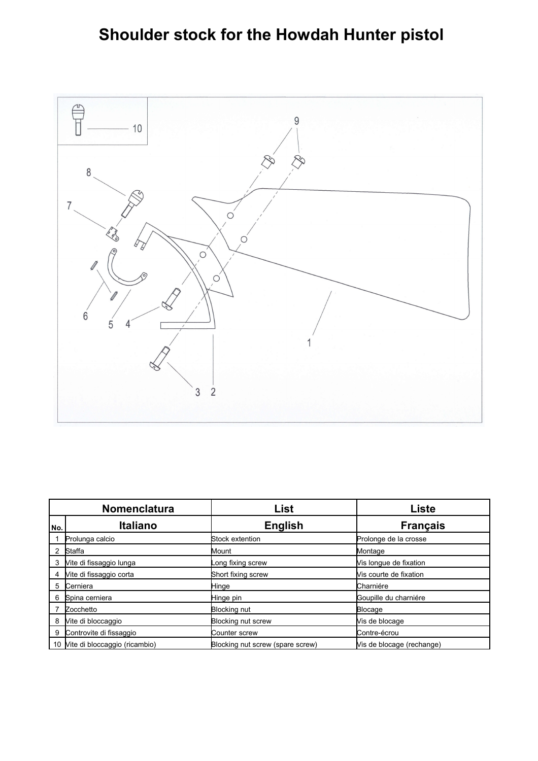## **Shoulder stock for the Howdah Hunter pistol**



|     | <b>Nomenclatura</b>           | List                             | Liste                     |
|-----|-------------------------------|----------------------------------|---------------------------|
| No. | <b>Italiano</b>               | <b>English</b>                   | <b>Français</b>           |
|     | Prolunga calcio               | Stock extention                  | Prolonge de la crosse     |
|     | Staffa                        | Mount                            | Montage                   |
| 3   | Vite di fissaggio lunga       | ong fixing screw                 | Vis longue de fixation    |
| 4   | Vite di fissaggio corta       | Short fixing screw               | Vis courte de fixation    |
| 5   | Cerniera                      | Hinge                            | Charniére                 |
| 6   | Spina cerniera                | Hinge pin                        | Goupille du charniére     |
|     | Zocchetto                     | <b>Blocking nut</b>              | <b>Blocage</b>            |
| 8   | Vite di bloccaggio            | Blocking nut screw               | Vis de blocage            |
| 9   | Controvite di fissaggio       | Counter screw                    | Contre-écrou              |
| 10  | Vite di bloccaggio (ricambio) | Blocking nut screw (spare screw) | Vis de blocage (rechange) |